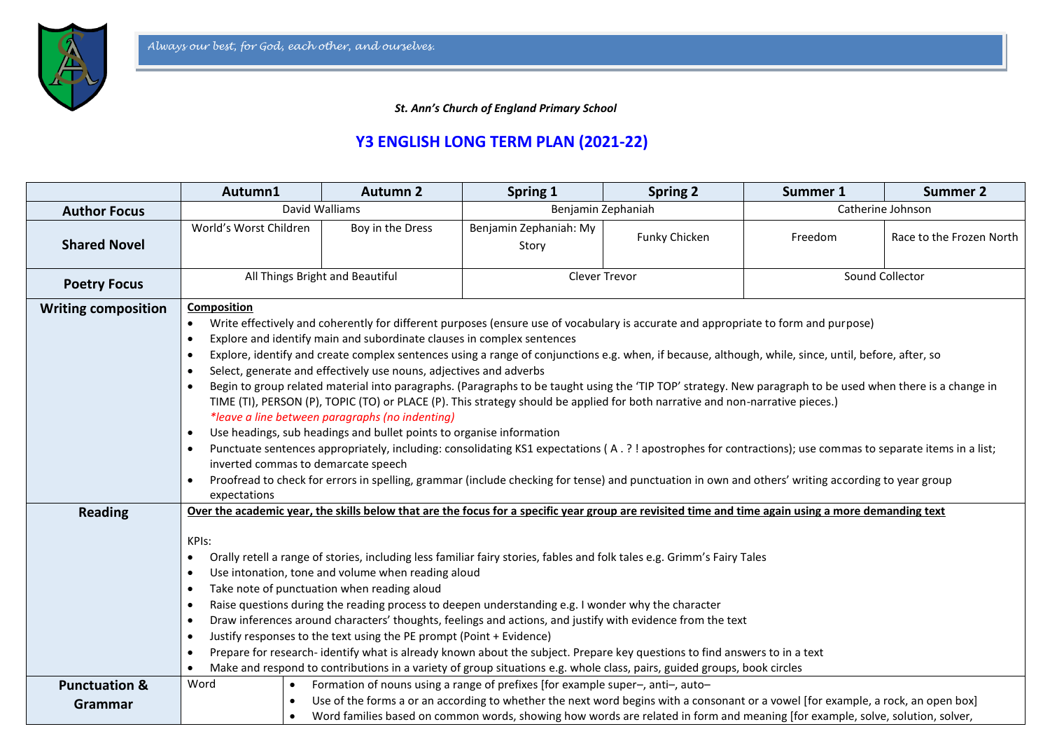

 *St. Ann's Church of England Primary School*

## **Y3 ENGLISH LONG TERM PLAN (2021-22)**

|                                     | Autumn1                                                                                                                                                                                                                                                                                                                                                                                                                                                                                                                                                                                                                                                                                                                                                                                                                                                                                                                                                                                                                                                                                                                                                                                                                                                                                                                                                                | <b>Autumn 2</b>  | Spring 1                                                                                                                                                                                                                                                                                                                                             | <b>Spring 2</b> | Summer 1          | <b>Summer 2</b>          |
|-------------------------------------|------------------------------------------------------------------------------------------------------------------------------------------------------------------------------------------------------------------------------------------------------------------------------------------------------------------------------------------------------------------------------------------------------------------------------------------------------------------------------------------------------------------------------------------------------------------------------------------------------------------------------------------------------------------------------------------------------------------------------------------------------------------------------------------------------------------------------------------------------------------------------------------------------------------------------------------------------------------------------------------------------------------------------------------------------------------------------------------------------------------------------------------------------------------------------------------------------------------------------------------------------------------------------------------------------------------------------------------------------------------------|------------------|------------------------------------------------------------------------------------------------------------------------------------------------------------------------------------------------------------------------------------------------------------------------------------------------------------------------------------------------------|-----------------|-------------------|--------------------------|
| <b>Author Focus</b>                 | David Walliams                                                                                                                                                                                                                                                                                                                                                                                                                                                                                                                                                                                                                                                                                                                                                                                                                                                                                                                                                                                                                                                                                                                                                                                                                                                                                                                                                         |                  | Benjamin Zephaniah                                                                                                                                                                                                                                                                                                                                   |                 | Catherine Johnson |                          |
| <b>Shared Novel</b>                 | World's Worst Children                                                                                                                                                                                                                                                                                                                                                                                                                                                                                                                                                                                                                                                                                                                                                                                                                                                                                                                                                                                                                                                                                                                                                                                                                                                                                                                                                 | Boy in the Dress | Benjamin Zephaniah: My<br>Story                                                                                                                                                                                                                                                                                                                      | Funky Chicken   | Freedom           | Race to the Frozen North |
| <b>Poetry Focus</b>                 | All Things Bright and Beautiful                                                                                                                                                                                                                                                                                                                                                                                                                                                                                                                                                                                                                                                                                                                                                                                                                                                                                                                                                                                                                                                                                                                                                                                                                                                                                                                                        |                  | Clever Trevor                                                                                                                                                                                                                                                                                                                                        |                 | Sound Collector   |                          |
| <b>Writing composition</b>          | Composition<br>Write effectively and coherently for different purposes (ensure use of vocabulary is accurate and appropriate to form and purpose)<br>$\bullet$<br>Explore and identify main and subordinate clauses in complex sentences<br>$\bullet$<br>Explore, identify and create complex sentences using a range of conjunctions e.g. when, if because, although, while, since, until, before, after, so<br>$\bullet$<br>Select, generate and effectively use nouns, adjectives and adverbs<br>$\bullet$<br>Begin to group related material into paragraphs. (Paragraphs to be taught using the 'TIP TOP' strategy. New paragraph to be used when there is a change in<br>$\bullet$<br>TIME (TI), PERSON (P), TOPIC (TO) or PLACE (P). This strategy should be applied for both narrative and non-narrative pieces.)<br>*leave a line between paragraphs (no indenting)<br>Use headings, sub headings and bullet points to organise information<br>$\bullet$<br>Punctuate sentences appropriately, including: consolidating KS1 expectations (A. ?! apostrophes for contractions); use commas to separate items in a list;<br>$\bullet$<br>inverted commas to demarcate speech<br>Proofread to check for errors in spelling, grammar (include checking for tense) and punctuation in own and others' writing according to year group<br>$\bullet$<br>expectations |                  |                                                                                                                                                                                                                                                                                                                                                      |                 |                   |                          |
| <b>Reading</b>                      | Over the academic year, the skills below that are the focus for a specific year group are revisited time and time again using a more demanding text<br>KPIs:<br>Orally retell a range of stories, including less familiar fairy stories, fables and folk tales e.g. Grimm's Fairy Tales<br>$\bullet$<br>Use intonation, tone and volume when reading aloud<br>$\bullet$<br>Take note of punctuation when reading aloud<br>$\bullet$<br>Raise questions during the reading process to deepen understanding e.g. I wonder why the character<br>$\bullet$<br>Draw inferences around characters' thoughts, feelings and actions, and justify with evidence from the text<br>$\bullet$<br>Justify responses to the text using the PE prompt (Point + Evidence)<br>$\bullet$<br>Prepare for research-identify what is already known about the subject. Prepare key questions to find answers to in a text<br>$\bullet$<br>Make and respond to contributions in a variety of group situations e.g. whole class, pairs, guided groups, book circles<br>$\bullet$                                                                                                                                                                                                                                                                                                               |                  |                                                                                                                                                                                                                                                                                                                                                      |                 |                   |                          |
| <b>Punctuation &amp;</b><br>Grammar | Word<br>$\bullet$<br>$\bullet$                                                                                                                                                                                                                                                                                                                                                                                                                                                                                                                                                                                                                                                                                                                                                                                                                                                                                                                                                                                                                                                                                                                                                                                                                                                                                                                                         |                  | Formation of nouns using a range of prefixes [for example super-, anti-, auto-<br>Use of the forms a or an according to whether the next word begins with a consonant or a vowel [for example, a rock, an open box]<br>Word families based on common words, showing how words are related in form and meaning [for example, solve, solution, solver, |                 |                   |                          |